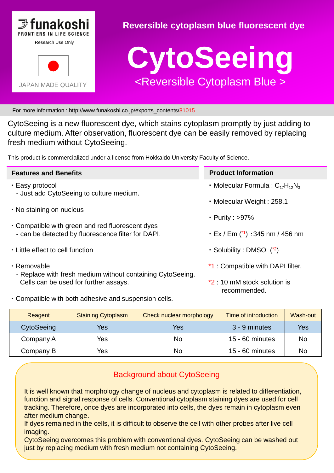

# **Reversible cytoplasm blue fluorescent dye**



For more information : http://www.funakoshi.co.jp/exports\_contents/81015

CytoSeeing is a new fluorescent dye, which stains cytoplasm promptly by just adding to culture medium. After observation, fluorescent dye can be easily removed by replacing fresh medium without CytoSeeing.

This product is commercialized under a license from Hokkaido University Faculty of Science.

| <b>Features and Benefits</b>                                                                           | <b>Product Information</b>                                  |
|--------------------------------------------------------------------------------------------------------|-------------------------------------------------------------|
| • Easy protocol<br>- Just add CytoSeeing to culture medium.                                            | • Molecular Formula : $C_{17}H_{12}N_3$                     |
| • No staining on nucleus                                                                               | • Molecular Weight: 258.1                                   |
| • Compatible with green and red fluorescent dyes<br>- can be detected by fluorescence filter for DAPI. | • Purity : $>97\%$                                          |
|                                                                                                        | $\cdot$ Ex / Em ( $\prime$ <sup>1</sup> ) : 345 nm / 456 nm |
| • Little effect to cell function                                                                       | • Solubility : DMSO (*2)                                    |
| · Removable                                                                                            | *1 : Compatible with DAPI filter.                           |
| - Replace with fresh medium without containing CytoSeeing.<br>Cells can be used for further assays.    | *2 10 mM stock solution is<br>recommended.                  |
| . Compatible with both adhesive and suspension cells.                                                  |                                                             |

| Reagent    | <b>Staining Cytoplasm</b> | Check nuclear morphology | Time of introduction | Wash-out |
|------------|---------------------------|--------------------------|----------------------|----------|
| CytoSeeing | Yes                       | Yes                      | 3 - 9 minutes        | Yes      |
| Company A  | Yes                       | No                       | 15 - 60 minutes      | No       |
| Company B  | Yes                       | No                       | $15 - 60$ minutes    | No       |

# Background about CytoSeeing

It is well known that morphology change of nucleus and cytoplasm is related to differentiation, function and signal response of cells. Conventional cytoplasm staining dyes are used for cell tracking. Therefore, once dyes are incorporated into cells, the dyes remain in cytoplasm even after medium change.

If dyes remained in the cells, it is difficult to observe the cell with other probes after live cell imaging.

CytoSeeing overcomes this problem with conventional dyes. CytoSeeing can be washed out just by replacing medium with fresh medium not containing CytoSeeing.